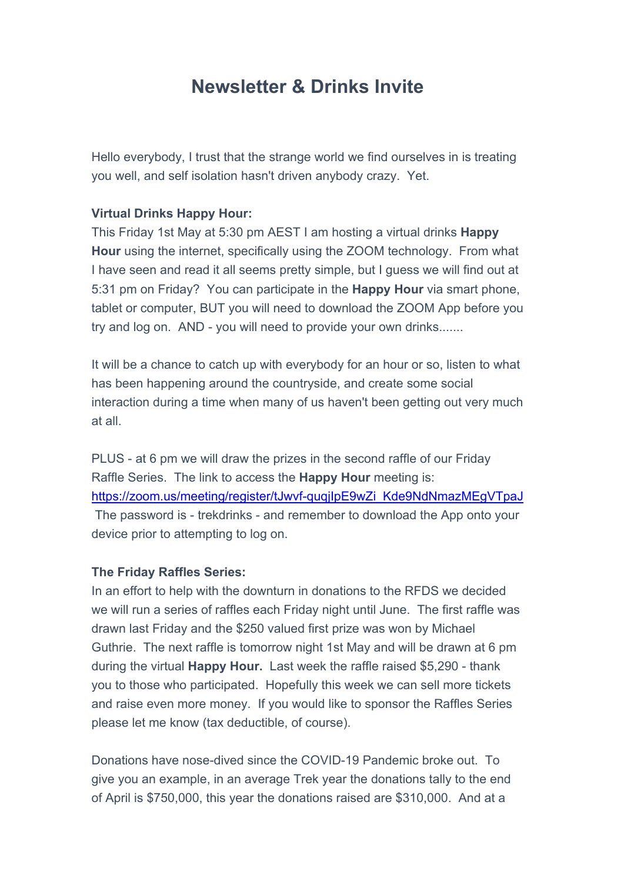# **Newsletter & Drinks Invite**

Hello everybody, I trust that the strange world we find ourselves in is treating you well, and self isolation hasn't driven anybody crazy. Yet.

#### **Virtual Drinks Happy Hour:**

This Friday 1st May at 5:30 pm AEST I am hosting a virtual drinks **Happy Hour** using the internet, specifically using the ZOOM technology. From what I have seen and read it all seems pretty simple, but I guess we will find out at 5:31 pm on Friday? You can participate in the **Happy Hour** via smart phone, tablet or computer, BUT you will need to download the ZOOM App before you try and log on. AND - you will need to provide your own drinks.......

It will be a chance to catch up with everybody for an hour or so, listen to what has been happening around the countryside, and create some social interaction during a time when many of us haven't been getting out very much at all.

PLUS - at 6 pm we will draw the prizes in the second raffle of our Friday Raffle Series. The link to access the **Happy Hour** meeting is: https://zoom.us/meeting/register/tJwvf-quqjIpE9wZi\_Kde9NdNmazMEgVTpaJ The password is - trekdrinks - and remember to download the App onto your device prior to attempting to log on.

#### **The Friday Raffles Series:**

In an effort to help with the downturn in donations to the RFDS we decided we will run a series of raffles each Friday night until June. The first raffle was drawn last Friday and the \$250 valued first prize was won by Michael Guthrie. The next raffle is tomorrow night 1st May and will be drawn at 6 pm during the virtual **Happy Hour.** Last week the raffle raised \$5,290 - thank you to those who participated. Hopefully this week we can sell more tickets and raise even more money. If you would like to sponsor the Raffles Series please let me know (tax deductible, of course).

Donations have nose-dived since the COVID-19 Pandemic broke out. To give you an example, in an average Trek year the donations tally to the end of April is \$750,000, this year the donations raised are \$310,000. And at a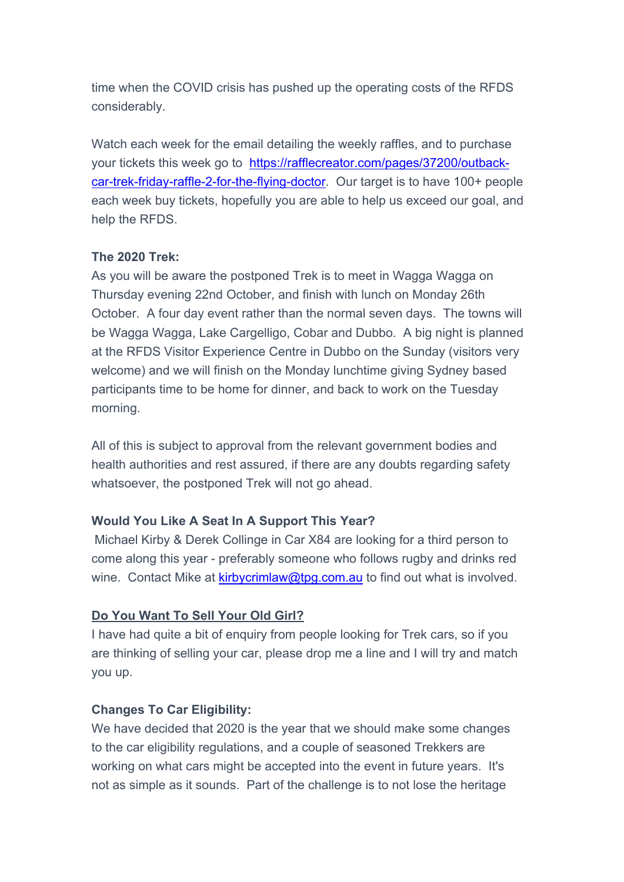time when the COVID crisis has pushed up the operating costs of the RFDS considerably.

Watch each week for the email detailing the weekly raffles, and to purchase your tickets this week go to https://rafflecreator.com/pages/37200/outbackcar-trek-friday-raffle-2-for-the-flying-doctor. Our target is to have 100+ people each week buy tickets, hopefully you are able to help us exceed our goal, and help the RFDS.

## **The 2020 Trek:**

As you will be aware the postponed Trek is to meet in Wagga Wagga on Thursday evening 22nd October, and finish with lunch on Monday 26th October. A four day event rather than the normal seven days. The towns will be Wagga Wagga, Lake Cargelligo, Cobar and Dubbo. A big night is planned at the RFDS Visitor Experience Centre in Dubbo on the Sunday (visitors very welcome) and we will finish on the Monday lunchtime giving Sydney based participants time to be home for dinner, and back to work on the Tuesday morning.

All of this is subject to approval from the relevant government bodies and health authorities and rest assured, if there are any doubts regarding safety whatsoever, the postponed Trek will not go ahead.

# **Would You Like A Seat In A Support This Year?**

Michael Kirby & Derek Collinge in Car X84 are looking for a third person to come along this year - preferably someone who follows rugby and drinks red wine. Contact Mike at  $kirbycrimlaw@tpg.com.au$  to find out what is involved.

### **Do You Want To Sell Your Old Girl?**

I have had quite a bit of enquiry from people looking for Trek cars, so if you are thinking of selling your car, please drop me a line and I will try and match you up.

### **Changes To Car Eligibility:**

We have decided that 2020 is the year that we should make some changes to the car eligibility regulations, and a couple of seasoned Trekkers are working on what cars might be accepted into the event in future years. It's not as simple as it sounds. Part of the challenge is to not lose the heritage